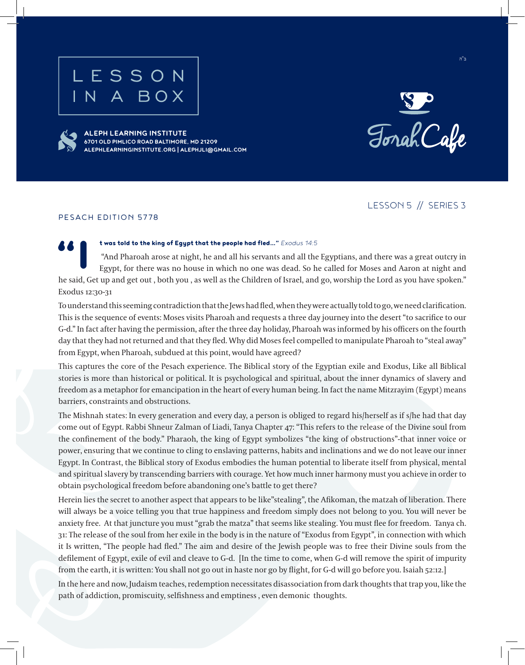# SSON



**ALEPH LEARNING INSTITUTE 6701 OLD PIMLICO ROAD BALTIMORE, MD 21209 ALEPHLEARNINGINSTITUTE.ORG | ALEPHJLI@GMAIL.COM**



ב"ה

LESSON 5 // SERIES 3

#### PESACH EDITION 5778

#### t was told to the king of Egypt that the people had fled ... " *Exodus 14:5*

 "And Pharoah arose at night, he and all his servants and all the Egyptians, and there was a great outcry in Egypt, for there was no house in which no one was dead. So he called for Moses and Aaron at night and he said, Get up and get out , both you , as well as the Children of Israel, and go, worship the Lord as you have spoken." Exodus 12:30-31

To understand this seeming contradiction that the Jews had fled, when they were actually told to go, we need clarification. This is the sequence of events: Moses visits Pharoah and requests a three day journey into the desert "to sacrifice to our G-d." In fact after having the permission, after the three day holiday, Pharoah was informed by his officers on the fourth day that they had not returned and that they fled. Why did Moses feel compelled to manipulate Pharoah to "steal away" from Egypt, when Pharoah, subdued at this point, would have agreed?

This captures the core of the Pesach experience. The Biblical story of the Egyptian exile and Exodus, Like all Biblical stories is more than historical or political. It is psychological and spiritual, about the inner dynamics of slavery and freedom as a metaphor for emancipation in the heart of every human being. In fact the name Mitzrayim (Egypt) means barriers, constraints and obstructions.

The Mishnah states: In every generation and every day, a person is obliged to regard his/herself as if s/he had that day come out of Egypt. Rabbi Shneur Zalman of Liadi, Tanya Chapter 47: "This refers to the release of the Divine soul from the confinement of the body." Pharaoh, the king of Egypt symbolizes "the king of obstructions"-that inner voice or power, ensuring that we continue to cling to enslaving patterns, habits and inclinations and we do not leave our inner Egypt. In Contrast, the Biblical story of Exodus embodies the human potential to liberate itself from physical, mental and spiritual slavery by transcending barriers with courage. Yet how much inner harmony must you achieve in order to obtain psychological freedom before abandoning one's battle to get there?

Herein lies the secret to another aspect that appears to be like"stealing", the Afikoman, the matzah of liberation. There will always be a voice telling you that true happiness and freedom simply does not belong to you. You will never be anxiety free. At that juncture you must "grab the matza" that seems like stealing. You must flee for freedom. Tanya ch. 31: The release of the soul from her exile in the body is in the nature of "Exodus from Egypt", in connection with which it Is written, "The people had fled." The aim and desire of the Jewish people was to free their Divine souls from the defilement of Egypt, exile of evil and cleave to G-d. [In the time to come, when G-d will remove the spirit of impurity from the earth, it is written: You shall not go out in haste nor go by flight, for G-d will go before you. Isaiah 52:12.]

In the here and now, Judaism teaches, redemption necessitates disassociation from dark thoughts that trap you, like the path of addiction, promiscuity, selfishness and emptiness , even demonic thoughts.